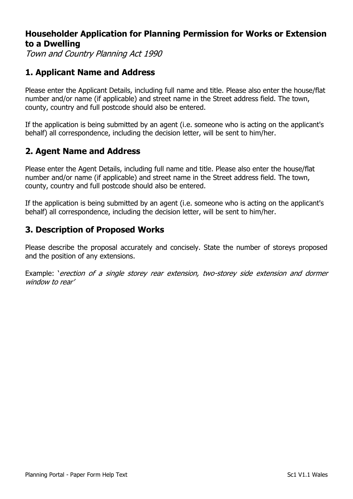## **Householder Application for Planning Permission for Works or Extension to a Dwelling**

Town and Country Planning Act 1990

# **1. Applicant Name and Address**

Please enter the Applicant Details, including full name and title. Please also enter the house/flat number and/or name (if applicable) and street name in the Street address field. The town, county, country and full postcode should also be entered.

If the application is being submitted by an agent (i.e. someone who is acting on the applicant's behalf) all correspondence, including the decision letter, will be sent to him/her.

# **2. Agent Name and Address**

Please enter the Agent Details, including full name and title. Please also enter the house/flat number and/or name (if applicable) and street name in the Street address field. The town, county, country and full postcode should also be entered.

If the application is being submitted by an agent (i.e. someone who is acting on the applicant's behalf) all correspondence, including the decision letter, will be sent to him/her.

# **3. Description of Proposed Works**

Please describe the proposal accurately and concisely. State the number of storeys proposed and the position of any extensions.

Example: 'erection of a single storey rear extension, two-storey side extension and dormer window to rear'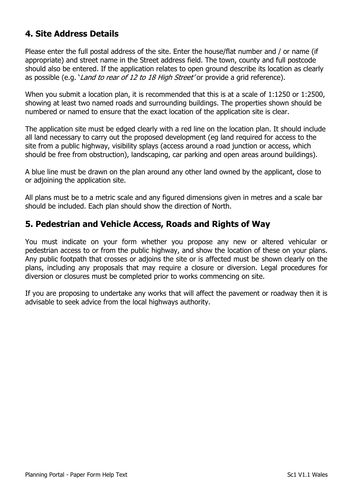# **4. Site Address Details**

Please enter the full postal address of the site. Enter the house/flat number and / or name (if appropriate) and street name in the Street address field. The town, county and full postcode should also be entered. If the application relates to open ground describe its location as clearly as possible (e.g. 'Land to rear of 12 to 18 High Street' or provide a grid reference).

When you submit a location plan, it is recommended that this is at a scale of 1:1250 or 1:2500, showing at least two named roads and surrounding buildings. The properties shown should be numbered or named to ensure that the exact location of the application site is clear.

The application site must be edged clearly with a red line on the location plan. It should include all land necessary to carry out the proposed development (eg land required for access to the site from a public highway, visibility splays (access around a road junction or access, which should be free from obstruction), landscaping, car parking and open areas around buildings).

A blue line must be drawn on the plan around any other land owned by the applicant, close to or adjoining the application site.

All plans must be to a metric scale and any figured dimensions given in metres and a scale bar should be included. Each plan should show the direction of North.

## **5. Pedestrian and Vehicle Access, Roads and Rights of Way**

You must indicate on your form whether you propose any new or altered vehicular or pedestrian access to or from the public highway, and show the location of these on your plans. Any public footpath that crosses or adjoins the site or is affected must be shown clearly on the plans, including any proposals that may require a closure or diversion. Legal procedures for diversion or closures must be completed prior to works commencing on site.

If you are proposing to undertake any works that will affect the pavement or roadway then it is advisable to seek advice from the local highways authority.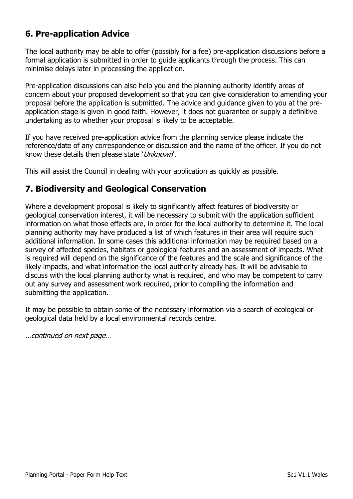# **6. Pre-application Advice**

The local authority may be able to offer (possibly for a fee) pre-application discussions before a formal application is submitted in order to guide applicants through the process. This can minimise delays later in processing the application.

Pre-application discussions can also help you and the planning authority identify areas of concern about your proposed development so that you can give consideration to amending your proposal before the application is submitted. The advice and guidance given to you at the preapplication stage is given in good faith. However, it does not guarantee or supply a definitive undertaking as to whether your proposal is likely to be acceptable.

If you have received pre-application advice from the planning service please indicate the reference/date of any correspondence or discussion and the name of the officer. If you do not know these details then please state 'Unknown'.

This will assist the Council in dealing with your application as quickly as possible.

## **7. Biodiversity and Geological Conservation**

Where a development proposal is likely to significantly affect features of biodiversity or geological conservation interest, it will be necessary to submit with the application sufficient information on what those effects are, in order for the local authority to determine it. The local planning authority may have produced a list of which features in their area will require such additional information. In some cases this additional information may be required based on a survey of affected species, habitats or geological features and an assessment of impacts. What is required will depend on the significance of the features and the scale and significance of the likely impacts, and what information the local authority already has. It will be advisable to discuss with the local planning authority what is required, and who may be competent to carry out any survey and assessment work required, prior to compiling the information and submitting the application.

It may be possible to obtain some of the necessary information via a search of ecological or geological data held by a local environmental records centre.

…continued on next page…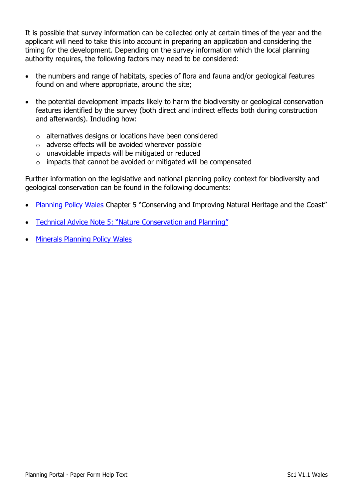It is possible that survey information can be collected only at certain times of the year and the applicant will need to take this into account in preparing an application and considering the timing for the development. Depending on the survey information which the local planning authority requires, the following factors may need to be considered:

- the numbers and range of habitats, species of flora and fauna and/or geological features found on and where appropriate, around the site;
- the potential development impacts likely to harm the biodiversity or geological conservation features identified by the survey (both direct and indirect effects both during construction and afterwards). Including how:
	- o alternatives designs or locations have been considered
	- o adverse effects will be avoided wherever possible
	- o unavoidable impacts will be mitigated or reduced
	- o impacts that cannot be avoided or mitigated will be compensated

Further information on the legislative and national planning policy context for biodiversity and geological conservation can be found in the following documents:

- [Planning Policy Wales](http://gov.wales/topics/planning/policy/ppw/?lang=en) Chapter 5 "Conserving and Improving Natural Heritage and the Coast"
- Technical Advice Note 5[: "Nature Conservation and Planning"](http://gov.wales/topics/planning/policy/tans/tan5/?lang=en)
- [Minerals Planning Policy Wales](http://gov.wales/topics/planning/policy/minerals/mineralsplanning/?lang=en)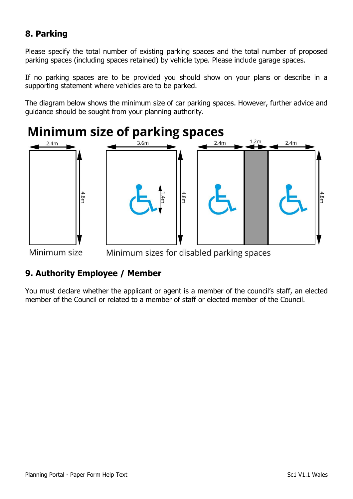# **8. Parking**

Please specify the total number of existing parking spaces and the total number of proposed parking spaces (including spaces retained) by vehicle type. Please include garage spaces.

If no parking spaces are to be provided you should show on your plans or describe in a supporting statement where vehicles are to be parked.

The diagram below shows the minimum size of car parking spaces. However, further advice and guidance should be sought from your planning authority.



Minimum size Minimum sizes for disabled parking spaces

## **9. Authority Employee / Member**

You must declare whether the applicant or agent is a member of the council's staff, an elected member of the Council or related to a member of staff or elected member of the Council.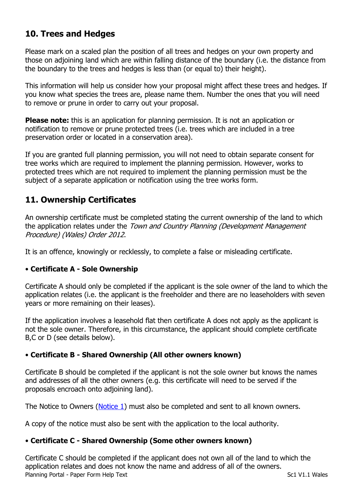# **10. Trees and Hedges**

Please mark on a scaled plan the position of all trees and hedges on your own property and those on adjoining land which are within falling distance of the boundary (i.e. the distance from the boundary to the trees and hedges is less than (or equal to) their height).

This information will help us consider how your proposal might affect these trees and hedges. If you know what species the trees are, please name them. Number the ones that you will need to remove or prune in order to carry out your proposal.

**Please note:** this is an application for planning permission. It is not an application or notification to remove or prune protected trees (i.e. trees which are included in a tree preservation order or located in a conservation area).

If you are granted full planning permission, you will not need to obtain separate consent for tree works which are required to implement the planning permission. However, works to protected trees which are not required to implement the planning permission must be the subject of a separate application or notification using the tree works form.

# **11. Ownership Certificates**

An ownership certificate must be completed stating the current ownership of the land to which the application relates under the Town and Country Planning (Development Management Procedure) (Wales) Order 2012.

It is an offence, knowingly or recklessly, to complete a false or misleading certificate.

#### • **Certificate A - Sole Ownership**

Certificate A should only be completed if the applicant is the sole owner of the land to which the application relates (i.e. the applicant is the freeholder and there are no leaseholders with seven years or more remaining on their leases).

If the application involves a leasehold flat then certificate A does not apply as the applicant is not the sole owner. Therefore, in this circumstance, the applicant should complete certificate B,C or D (see details below).

#### • **Certificate B - Shared Ownership (All other owners known)**

Certificate B should be completed if the applicant is not the sole owner but knows the names and addresses of all the other owners (e.g. this certificate will need to be served if the proposals encroach onto adjoining land).

The Notice to Owners [\(Notice 1\)](https://ecab.planningportal.co.uk/uploads/1app/notices/notice1_wales.pdf) must also be completed and sent to all known owners.

A copy of the notice must also be sent with the application to the local authority.

#### • **Certificate C - Shared Ownership (Some other owners known)**

Planning Portal - Paper Form Help Text Sc1 V1.1 Wales Certificate C should be completed if the applicant does not own all of the land to which the application relates and does not know the name and address of all of the owners.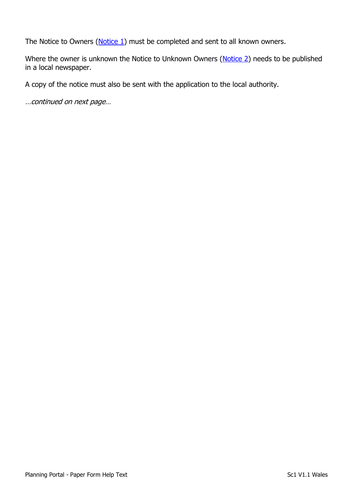The Notice to Owners [\(Notice 1\)](https://ecab.planningportal.co.uk/uploads/1app/notices/notice1_wales.pdf) must be completed and sent to all known owners.

Where the owner is unknown the Notice to Unknown Owners [\(Notice 2\)](https://ecab.planningportal.co.uk/uploads/1app/notices/notice2_wales.pdf) needs to be published in a local newspaper.

A copy of the notice must also be sent with the application to the local authority.

…continued on next page…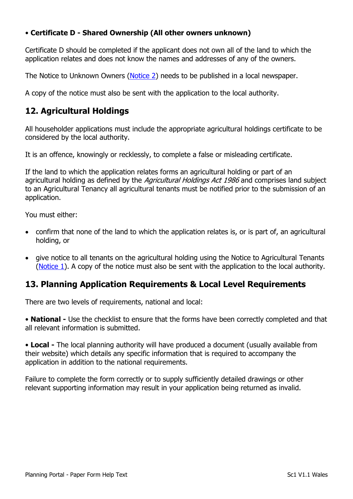#### • **Certificate D - Shared Ownership (All other owners unknown)**

Certificate D should be completed if the applicant does not own all of the land to which the application relates and does not know the names and addresses of any of the owners.

The Notice to Unknown Owners [\(Notice 2\)](https://ecab.planningportal.co.uk/uploads/1app/notices/notice2_wales.pdf) needs to be published in a local newspaper.

A copy of the notice must also be sent with the application to the local authority.

# **12. Agricultural Holdings**

All householder applications must include the appropriate agricultural holdings certificate to be considered by the local authority.

It is an offence, knowingly or recklessly, to complete a false or misleading certificate.

If the land to which the application relates forms an agricultural holding or part of an agricultural holding as defined by the Agricultural Holdings Act 1986 and comprises land subject to an Agricultural Tenancy all agricultural tenants must be notified prior to the submission of an application.

You must either:

- confirm that none of the land to which the application relates is, or is part of, an agricultural holding, or
- give notice to all tenants on the agricultural holding using the Notice to Agricultural Tenants [\(Notice 1\)](https://ecab.planningportal.co.uk/uploads/1app/notices/notice1_wales.pdf). A copy of the notice must also be sent with the application to the local authority.

## **13. Planning Application Requirements & Local Level Requirements**

There are two levels of requirements, national and local:

• **National -** Use the checklist to ensure that the forms have been correctly completed and that all relevant information is submitted.

• **Local -** The local planning authority will have produced a document (usually available from their website) which details any specific information that is required to accompany the application in addition to the national requirements.

Failure to complete the form correctly or to supply sufficiently detailed drawings or other relevant supporting information may result in your application being returned as invalid.